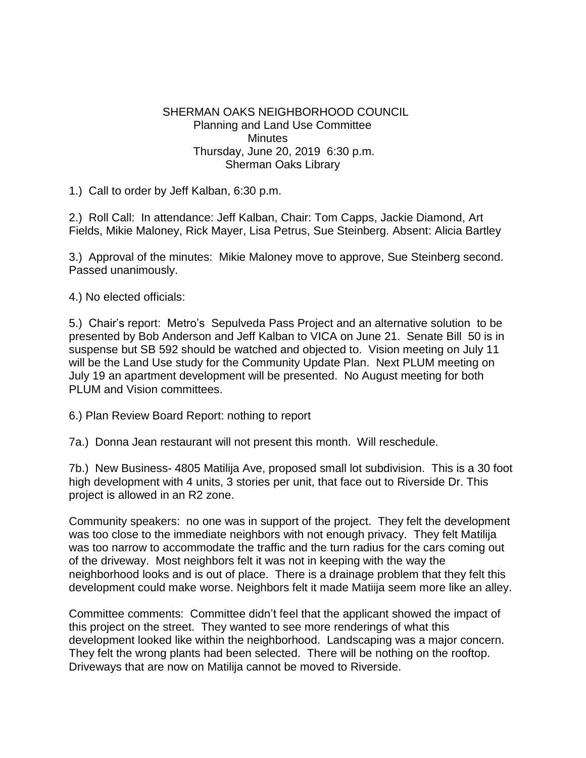## SHERMAN OAKS NEIGHBORHOOD COUNCIL Planning and Land Use Committee **Minutes**  Thursday, June 20, 2019 6:30 p.m. Sherman Oaks Library

1.) Call to order by Jeff Kalban, 6:30 p.m.

2.) Roll Call: In attendance: Jeff Kalban, Chair: Tom Capps, Jackie Diamond, Art Fields, Mikie Maloney, Rick Mayer, Lisa Petrus, Sue Steinberg. Absent: Alicia Bartley

3.) Approval of the minutes: Mikie Maloney move to approve, Sue Steinberg second. Passed unanimously.

4.) No elected officials:

5.) Chair's report: Metro's Sepulveda Pass Project and an alternative solution to be presented by Bob Anderson and Jeff Kalban to VICA on June 21. Senate Bill 50 is in suspense but SB 592 should be watched and objected to. Vision meeting on July 11 will be the Land Use study for the Community Update Plan. Next PLUM meeting on July 19 an apartment development will be presented. No August meeting for both PLUM and Vision committees.

6.) Plan Review Board Report: nothing to report

7a.) Donna Jean restaurant will not present this month. Will reschedule.

7b.) New Business- 4805 Matilija Ave, proposed small lot subdivision. This is a 30 foot high development with 4 units, 3 stories per unit, that face out to Riverside Dr. This project is allowed in an R2 zone.

Community speakers: no one was in support of the project. They felt the development was too close to the immediate neighbors with not enough privacy. They felt Matilija was too narrow to accommodate the traffic and the turn radius for the cars coming out of the driveway. Most neighbors felt it was not in keeping with the way the neighborhood looks and is out of place. There is a drainage problem that they felt this development could make worse. Neighbors felt it made Matiija seem more like an alley.

Committee comments: Committee didn't feel that the applicant showed the impact of this project on the street. They wanted to see more renderings of what this development looked like within the neighborhood. Landscaping was a major concern. They felt the wrong plants had been selected. There will be nothing on the rooftop. Driveways that are now on Matilija cannot be moved to Riverside.